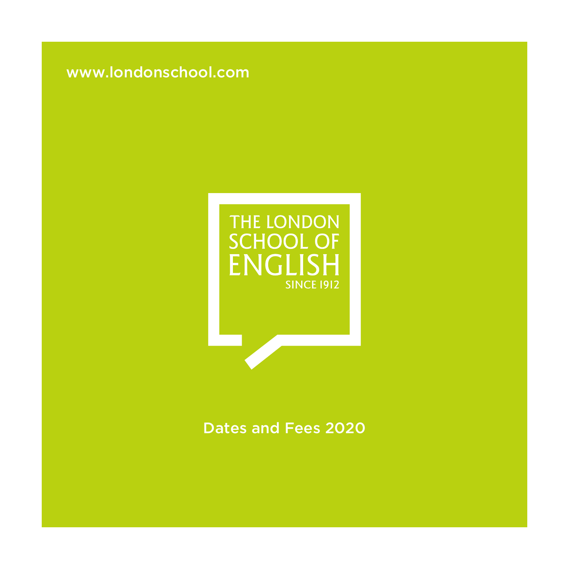# www.londonschool.com



Dates and Fees 2020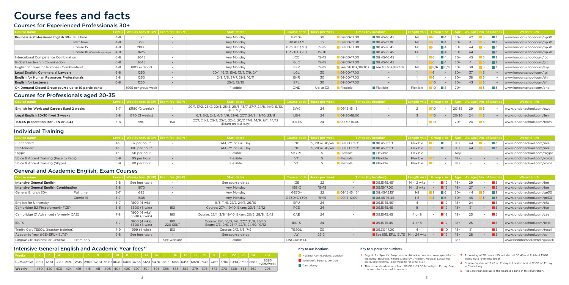# Courses for Experienced Professionals 30+

| Course name                                            |         | Levels   Weekly fees (GBP)   Exam fee (GBP) | <b>Start dates</b>                |             | Course code   Hours per week |                        | Times (by location)            | Length wks   Group size   Age   Av. age   No. of lunches |                 |                |       |    |                            |                | Website link              |
|--------------------------------------------------------|---------|---------------------------------------------|-----------------------------------|-------------|------------------------------|------------------------|--------------------------------|----------------------------------------------------------|-----------------|----------------|-------|----|----------------------------|----------------|---------------------------|
| Business & Professional English 30+ Full time          | $4 - 8$ | 1175                                        | Any Monday                        | BP30+       | 30                           | 09.00-17.00            | 08.45-16.45                    |                                                          |                 |                | $30+$ | 42 |                            |                | www.londonschool.com/bp30 |
| Part time                                              | $4 - 8$ | 755                                         | Any Monday                        | BP30+AM     |                              | $09.00 - 12.30$        | 08.45-12.00                    | $1 - 8$                                                  |                 | <b>14</b>      | $30+$ |    |                            |                | www.londonschool.com/bp30 |
| Combi 15                                               | $4 - 8$ | 2060                                        | Any Monday                        | BP30+C (30) | $15+15$                      | 09.00-17.00            | 08.45-16.45                    | $1 - 8$                                                  | 6               | $\overline{A}$ | $30+$ |    |                            |                | www.londonschool.com/bp30 |
| Combi 10 (Canterbury only) 4-8                         |         | 1625                                        | Any Monday                        | BP30+C (25) | $15+10$                      |                        | 08.45-15.45                    | $1 - 8$                                                  |                 | $\overline{4}$ | $30+$ | 44 |                            | $\overline{3}$ | www.londonschool.com/bp30 |
| Intercultural Competence Combination                   | $6 - 8$ | 2645                                        | Any Monday                        |             | $15+15$                      | $09.00 - 17.00$        | 08.45-16.45                    |                                                          | 6               | $\parallel$ 4  |       | 45 |                            | $\blacksquare$ | www.londonschool.com/icc  |
| <b>Global Leadership Combination</b>                   | $6 - 8$ | 2645                                        | Any Monday                        | <b>GLC</b>  | $15+15$                      | 09.00-17.00            | 08.45-16.45                    |                                                          |                 | $\blacksquare$ | $30+$ |    |                            |                | www.londonschool.com/glc  |
| English for Specific Purposes Combination <sup>1</sup> | $4 - 8$ | 1805 or 2060                                | Any Monday                        | <b>ESP</b>  | $15+15$                      | See GE30+/BP30+        | $\blacksquare$ see GE30+/BP30+ | 1-8                                                      |                 | $8/6$ 6/4      |       | 39 |                            |                | www.londonschool.com/esp  |
| Legal English: Commercial Lawyers                      | $6 - 8$ | 1250                                        | 20/1, 16/3, 15/6, 13/7, 7/9, 2/11 | LGL         | 30                           | $\bigcirc$ 09.00-17.00 |                                |                                                          |                 |                | $30+$ | 37 |                            |                | www.londonschool.com/lgl  |
| <b>English for Human Resources Professionals</b>       | $5 - 8$ | 1250                                        | 2/3, 1/6, 27/7, 21/9, 16/11       | <b>EHR</b>  | 30                           | 09.00-17.00            |                                |                                                          |                 |                | $30+$ | 38 | $\blacksquare$             |                | www.londonschool.com/ehr  |
| <b>English for Lecturers</b>                           | $6 - 8$ | 1250                                        | 25/5, 12/10                       | EFL         | 30                           | 09.00-17.00            |                                |                                                          | 10              |                | $30+$ | 43 |                            |                | www.londonschool.com/efl  |
| On Demand Closed Group course up to 10 participants    |         | 5995 per group week                         | Flexible                          | OND         | Up to $30$                   | Flexible               | $\blacksquare$ Flexible        | Flexible                                                 | 10 <sup>°</sup> | - 18           | $20+$ |    | $\overline{\phantom{0}}$ 5 |                | www.londonschool.com/ond  |

# Courses for Professionals aged 20-35

| Course name                                       |     | els   Weekly fees (GBP)   Exam fee (GBP) | <b>Start dates</b>                                                                |            | Course code  Hours per week | Times (by location)    |  |                            |        | ength wks   Group size   Age  Av. age   No. of lunche | Website link               |
|---------------------------------------------------|-----|------------------------------------------|-----------------------------------------------------------------------------------|------------|-----------------------------|------------------------|--|----------------------------|--------|-------------------------------------------------------|----------------------------|
| <b>English for Work and Careers fixed 2 weeks</b> |     | £1180 (2 weeks)                          | $\mid$ 20/1, 17/2, 23/3, 20/4, 25/5, 29/6, 13/7, 27/7, 24/8, 14/9, 5/10,          | <b>EWC</b> |                             | $\bigcirc$ 09.15-15.45 |  | $20 - 35$                  | 29   5 |                                                       | www.londonschool.com/ewc   |
| Legal English 20-30 fixed 3 weeks                 | 5-8 | 1770 (3 weeks)                           | 6/1, 3/2, 2/3, 4/5, 1/6, 29/6, 27/7, 24/8, 19/10, 23/11                           | <b>LEN</b> |                             | $09.30 - 16.00$        |  | $20 - 30$ 24 $\frac{1}{2}$ |        |                                                       | www.londonschool.com/len   |
| TOLES preparation (for LEN or LGL)                |     |                                          | 27/1, 24/2, 23/3, 25/5, 22/6, 20/7, 17/8, 14/9, 9/11, 14/12<br>(Exam on last day) | 1 V L L J  |                             | 09.30-16.00            |  |                            |        |                                                       | www.londonschool.com/toles |

# Individual Training

| Course name                            |         | Levels   Weekly fees (GBP)   Exam fee (GBP)   1 | Start dates        |              | Course code  Hours per week                       |                 | Times (by location)     | Length wks   Group size   Age   Av. age   No. of lunches                     |  |       |              |                  | Website link                 |
|----------------------------------------|---------|-------------------------------------------------|--------------------|--------------|---------------------------------------------------|-----------------|-------------------------|------------------------------------------------------------------------------|--|-------|--------------|------------------|------------------------------|
| 1:1 Standard                           | 1-9     | 87 per hour <sup>2</sup>                        | AM, PM or Full Day | <b>IND</b>   | 15, 20 or 30/wk   $\Box$ 09.00 start <sup>3</sup> |                 | $\Box$ 08.45 start      | $F$ lexible $\begin{array}{ c c c c c c } \hline 1&1&1 \ \hline \end{array}$ |  | $18+$ | 44 5         | $\blacksquare$ 3 | www.londonschool.com/ind     |
| 2:1 Standard                           | $1 - 9$ | 100 per hour <sup>2</sup>                       | AM, PM or Full Day | <b>IND</b>   | 15, 20 or 30/wk 09.00 start <sup>3</sup>          |                 | <b>08.45 start</b>      | Flexible                                                                     |  | $18+$ |              |                  | www.londonschool.com/ind     |
| Skype                                  | $1 - 9$ | 60 per hour                                     | Flexible           | <b>SKYPE</b> |                                                   | <b>Flexible</b> | $\blacksquare$ Flexible | Flexible $\vert - \vert - \vert$ Any $\vert - \vert$                         |  |       |              |                  | - www.londonschool.com/skype |
| Voice & Accent Training (Face to Face) | $5-9$   | 95 per hour                                     | Flexible           |              |                                                   | Flexible        | $\blacksquare$ Flexible | Flexible                                                                     |  |       | $18+$ $   -$ |                  | www.londonschool.com/voice   |
| Voice & Accent Training (Skype)        | 5-9     | 80 per hour                                     | Flexible           |              |                                                   | Flexible        | $\blacksquare$ Flexible | $F$ lexible $\boxed{1}$                                                      |  |       | $18+$ -      |                  | www.londonschool.com/voice   |

1 English for Specific Purposes combination courses cover specialisms 3 A booking of 20 hours IND will start at 08:45 and finish at 13:00 including a 15-minute break.

- in Canterbury.
- 5 Fees are rounded up to the nearest pound in this illustration.

# General and Academic English, Exam Courses

| Course name                           |           |         | Levels   Weekly fees (GBP)   Exam fee (GBP) |                        | <b>Start dates</b>                                                                      |              | Course code   Hours per week |                                 | Times (by location)               | Length wks   Group size   Age   Av. age   No. of lunches |                   |       |    |                  | Website link                     |
|---------------------------------------|-----------|---------|---------------------------------------------|------------------------|-----------------------------------------------------------------------------------------|--------------|------------------------------|---------------------------------|-----------------------------------|----------------------------------------------------------|-------------------|-------|----|------------------|----------------------------------|
| Intensive General English             |           | $2 - 8$ | See fees table                              |                        | See course dates                                                                        | <b>GE</b>    | 22                           |                                 | $\Box$ 09.15-15.45 <sup>4</sup>   | Min. 2 wks                                               | $\blacksquare$ 12 | $18+$ | 29 | $\blacksquare$ 5 | www.londonschool.com/ige         |
| Intensive General English Combination |           | $2 - 8$ | 1670                                        |                        | Any Monday                                                                              | IGE-C        | $15+15$                      |                                 | 09:15-17.00                       | Min. 2 wks                                               | $\blacksquare$ 12 | $18+$ |    | $\blacksquare$   | www.londonschool.com/ige         |
| General English 30+                   | Full time | $3 - 7$ | 685                                         |                        | Any Monday                                                                              | GE30+        | 22                           | $\Box$ 09.15-15.45 <sup>4</sup> | $\Box$ 08.45-15.15 <sup>4</sup>   | 1-8                                                      |                   | $30+$ | 44 | $\blacksquare$ 3 | www.londonschool.com/ge30        |
|                                       | Combi 15  | $3 - 7$ | 1805                                        |                        | Any Monday                                                                              | GE30+C (30)  | $15+15$                      | $\Box$ 09.15-17.00              | 08.45-16.45                       | $1 - 8$                                                  | - 6               | $30+$ | 45 |                  | www.londonschool.com/ge30        |
| <b>English for University</b>         |           | $5 - 7$ | 1800 (4 wks)                                |                        | 9/3, 11/5, 27/7, 24/8, 26/10                                                            | EFU          | 24                           |                                 | $\Box$ 09.15-15.454               |                                                          | $\blacksquare$ 12 | 18+   | 24 | $\blacksquare$ 5 | www.londonschool.com/efu         |
| Cambridge B2 First (formerly FCE)     |           | $5-6$   | 3600 (8 wks)                                | 160                    | Course: 27/4, 19/10. Exam: 20/6, 12/12                                                  | <b>FCE</b>   | 24                           |                                 | 09.15-15.45                       |                                                          | $\blacksquare$ 12 | $18+$ |    | $\blacksquare$   | www.londonschool.com/fce         |
| Cambridge C1 Advanced (formerly CAE)  |           | $7 - 8$ | 1800 (4 wks)<br>3600 (8 wks)                | 160                    | Course: 27/4, 3/8, 19/10. Exam: 20/6, 28/8, 12/12                                       | CAE          | 24                           |                                 | $\Box$ 09.15-15.45                | 4 or 8                                                   | $\blacksquare$ 12 | $18+$ | 25 | $\blacksquare$ 5 | www.londonschool.com/cae         |
| <b>IELTS</b>                          |           |         | 1800 (4 wks)<br>3600 (8 wks)                | 190<br><b>220 SELT</b> | Course: 13/1, 16/3, 1/6, 27/7, 31/8, 26/10.<br>Exam: 7/3, 9/5, 25/7, 22/8, 24/10, 19/12 | <b>IELTS</b> | 24                           |                                 | $\Box$ 09.15-15.45                | 4 or 8                                                   | $\blacksquare$ 12 | $18+$ | 25 | $\overline{5}$   | www.londonschool.com/ielts       |
| Trinity Cert TESOL (teacher training) |           | 7-9     | 999 (4 wks)                                 | 150                    | Course: 2/3, 1/6, 7/9                                                                   | <b>TESOL</b> | 3C                           |                                 | 09.30-17.00                       |                                                          | $\blacksquare$ 10 | $18+$ |    | $\blacksquare$ 5 | www.londonschool.com/tesol       |
| Academic Year (IGE+EFU+IELTS)         |           | $2 - 8$ | See fees table                              |                        | See course dates                                                                        | AY           | $22 - 24$                    |                                 | See IGE, EFU, IELTS   Min. 24 wks |                                                          | $\blacksquare$ 12 | $18+$ | 28 | $\blacksquare$ 5 | www.londonschool.com/ay          |
| Linguaskill: Business or General      | Exam only |         |                                             | See website            | Flexible                                                                                | LINGUASKILL  |                              |                                 |                                   |                                                          |                   | $18+$ |    |                  | www.londonschool.com/linguaskill |

# Intensive General English and Academic Year fees\*<sup>5</sup>

# Course fees and facts

| Weeks'     |                     |  | 151617181 |           |  |  |  |  |  |  | 9    10    11    12    13    14    15    16    17    18    19    20    21    22    23    24 |           |                                                                                                                          |
|------------|---------------------|--|-----------|-----------|--|--|--|--|--|--|---------------------------------------------------------------------------------------------|-----------|--------------------------------------------------------------------------------------------------------------------------|
| Cumulative |                     |  |           |           |  |  |  |  |  |  |                                                                                             |           | - 860 1290 1720 2120 2515 2905 3290 3670 4040 4405 4765 5120 5470 5815 6155 6490 6820 7145 7465 7780 8090 8390 8685 3685 |
| Weekly     | 430 430 430 424 419 |  |           | $415$ 411 |  |  |  |  |  |  | 408 404 400 397 394 391 388 385 382 379 376 373 370 368                                     | $365$ 362 | 295                                                                                                                      |

## Key to superscript numbers

- including: Business, Finance, Energy, Aviation, Medical, Lecturing Skills, Engineering. (See website for a full list.)
- 2 This is the standard rate from 08.00 to 19.00 Monday to Friday. See the website for out of hours rate.

4 Course finishes at 12:45 on Friday in London and at 12:00 on Friday

## Key to our locations

- **Holland Park Gardens, London**
- **Westcroft Square, London**
- Canterbury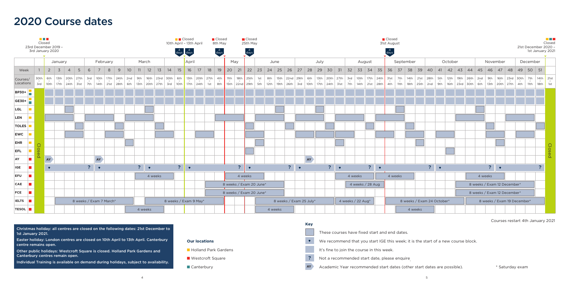# 2020 Course dates

|                       | 23rd December 2019 -<br>3rd January 2020 | <b>The Co</b><br>Closed |            |                             |                        |                         |                                              |  |                          |                       | <b>N</b> Closed<br>$\frac{4}{\text{days}}$ $\frac{4}{\text{days}}$ | 10th April - 13th April |                                                                                                                                  | <b>Closed</b><br>8th May<br>$\frac{4}{\text{days}}$ |                         |                | <b>Closed</b><br>25th May<br>$\frac{4}{\text{days}}$ |         |              |                                                 |      |                        |                   |                  |           | <b>Closed</b><br>31st August<br>$\frac{4}{\text{days}}$ |           |                            |              |     |         |                                                                                                                                                                                                                                                        |                             |         |                             |      |                                       |                | <u>ra d</u><br>Closed<br>21st December 2020 -<br>1st January 2021 |
|-----------------------|------------------------------------------|-------------------------|------------|-----------------------------|------------------------|-------------------------|----------------------------------------------|--|--------------------------|-----------------------|--------------------------------------------------------------------|-------------------------|----------------------------------------------------------------------------------------------------------------------------------|-----------------------------------------------------|-------------------------|----------------|------------------------------------------------------|---------|--------------|-------------------------------------------------|------|------------------------|-------------------|------------------|-----------|---------------------------------------------------------|-----------|----------------------------|--------------|-----|---------|--------------------------------------------------------------------------------------------------------------------------------------------------------------------------------------------------------------------------------------------------------|-----------------------------|---------|-----------------------------|------|---------------------------------------|----------------|-------------------------------------------------------------------|
|                       |                                          |                         | January    |                             |                        | February                |                                              |  | March                    |                       |                                                                    | April                   |                                                                                                                                  |                                                     |                         | May            |                                                      | June    |              |                                                 | July |                        | August            |                  |           |                                                         | September |                            |              |     | October |                                                                                                                                                                                                                                                        |                             |         | November                    |      | December                              |                |                                                                   |
| Week                  |                                          |                         | $2 \mid 3$ |                             |                        |                         |                                              |  |                          | 14                    | 15                                                                 | $16$ 17                 |                                                                                                                                  | 18 19                                               |                         |                |                                                      |         |              | 20 21 22 23 24 25 26 27 28 29 30 31 32 33 34 35 |      |                        |                   |                  |           |                                                         |           |                            |              |     |         | 36 37 38 39 40 41 42 43 44 45 46 47 48                                                                                                                                                                                                                 |                             |         |                             |      | 49 50 51                              |                |                                                                   |
| Courses/<br>Locations |                                          |                         |            | 30th 6th 13th 20th 27th 3rd |                        |                         | 10th   17th   24th   2nd   9th<br>$\sim$ $-$ |  | 16th                     |                       |                                                                    |                         | 23rd 30th 6th 13th 20th 27th 4th 11th 18th 25th 15th 8th 15th 22nd 29th 6th 13th 20th 3rd 10th 17th 24th 31st 7th 14th 21st 28th |                                                     |                         |                |                                                      |         |              |                                                 |      |                        |                   |                  |           |                                                         |           |                            |              | 5th |         | $12th$ 19th 26th 2nd<br>3rd 10th 17th 24th 31st 7th 14th 21st 28th 6th 13th 20th 3rd 10th 17th 3rd 10th 17th 24th 15th 8th 15th 22nd 29th 5th 12th 19th 26th 3rd 10th 17th 24th 11th 26th 3rd 10th 17th 24th 31st 7th 24th 31st 7th 14th 21st 28th 4th |                             | $ $ 9th | 16th                        | 23rd | 30th   7th   14th <mark> </mark> 21st |                |                                                                   |
| <b>BP30+</b>          |                                          |                         |            |                             |                        |                         |                                              |  |                          |                       |                                                                    |                         |                                                                                                                                  |                                                     |                         |                |                                                      |         |              |                                                 |      |                        |                   |                  |           |                                                         |           |                            |              |     |         |                                                                                                                                                                                                                                                        |                             |         |                             |      |                                       |                |                                                                   |
| $GE30+$               |                                          |                         |            |                             |                        |                         |                                              |  |                          |                       |                                                                    |                         |                                                                                                                                  |                                                     |                         |                |                                                      |         |              |                                                 |      |                        |                   |                  |           |                                                         |           |                            |              |     |         |                                                                                                                                                                                                                                                        |                             |         |                             |      |                                       |                |                                                                   |
| LGL                   |                                          |                         |            |                             |                        |                         |                                              |  |                          |                       |                                                                    |                         |                                                                                                                                  |                                                     |                         |                |                                                      |         |              |                                                 |      |                        |                   |                  |           |                                                         |           |                            |              |     |         |                                                                                                                                                                                                                                                        |                             |         |                             |      |                                       |                |                                                                   |
| <b>LEN</b>            |                                          |                         |            |                             |                        |                         |                                              |  |                          |                       |                                                                    |                         |                                                                                                                                  |                                                     |                         |                |                                                      |         |              |                                                 |      |                        |                   |                  |           |                                                         |           |                            |              |     |         |                                                                                                                                                                                                                                                        |                             |         |                             |      |                                       |                |                                                                   |
| <b>TOLES</b>          |                                          |                         |            |                             |                        |                         |                                              |  |                          |                       |                                                                    |                         |                                                                                                                                  |                                                     |                         |                |                                                      |         |              |                                                 |      |                        |                   |                  |           |                                                         |           |                            |              |     |         |                                                                                                                                                                                                                                                        |                             |         |                             |      |                                       |                |                                                                   |
| EWC                   |                                          |                         |            |                             |                        |                         |                                              |  |                          |                       |                                                                    |                         |                                                                                                                                  |                                                     |                         |                |                                                      |         |              |                                                 |      |                        |                   |                  |           |                                                         |           |                            |              |     |         |                                                                                                                                                                                                                                                        |                             |         |                             |      |                                       |                |                                                                   |
| EHR                   | ∩                                        |                         |            |                             |                        |                         |                                              |  |                          |                       |                                                                    |                         |                                                                                                                                  |                                                     |                         |                |                                                      |         |              |                                                 |      |                        |                   |                  |           |                                                         |           |                            |              |     |         |                                                                                                                                                                                                                                                        |                             |         |                             |      |                                       |                |                                                                   |
| <b>EFL</b>            | $\overline{\circ}$                       |                         |            |                             |                        |                         |                                              |  |                          |                       |                                                                    |                         |                                                                                                                                  |                                                     |                         |                |                                                      |         |              |                                                 |      |                        |                   |                  |           |                                                         |           |                            |              |     |         |                                                                                                                                                                                                                                                        |                             |         |                             |      |                                       |                |                                                                   |
| <b>AY</b>             | $\Omega$<br>$\mathbb{R}^n$               | AY                      |            |                             |                        | AY                      |                                              |  |                          |                       |                                                                    |                         |                                                                                                                                  |                                                     |                         |                |                                                      |         |              | AY                                              |      |                        |                   |                  |           |                                                         |           |                            |              |     |         |                                                                                                                                                                                                                                                        |                             |         |                             |      |                                       |                |                                                                   |
| <b>IGE</b>            |                                          |                         |            |                             | $\mathbf{P}$ $\bullet$ |                         |                                              |  | $\overline{?}$ $\bullet$ |                       | $\mathbf{?}$                                                       | $\bullet$               |                                                                                                                                  |                                                     |                         | $\overline{?}$ | $\bullet$                                            |         | $\mathbf{?}$ |                                                 |      | $\mathbf{P}$ $\bullet$ |                   | $\mathbb{R}$     | $\bullet$ |                                                         |           |                            | $\mathbf{?}$ |     |         |                                                                                                                                                                                                                                                        |                             |         | $\mathbf{?}$                |      |                                       | $\overline{?}$ |                                                                   |
| EFU <b>II</b>         |                                          |                         |            |                             |                        |                         |                                              |  | 4 weeks                  |                       |                                                                    |                         |                                                                                                                                  |                                                     |                         | 4 weeks        |                                                      |         |              |                                                 |      |                        | 4 weeks           |                  |           | 4 weeks                                                 |           |                            |              |     |         |                                                                                                                                                                                                                                                        |                             | 4 weeks |                             |      |                                       |                |                                                                   |
| $CAE$ $\blacksquare$  |                                          |                         |            |                             |                        |                         |                                              |  |                          |                       |                                                                    |                         |                                                                                                                                  |                                                     | 8 weeks / Exam 20 June* |                |                                                      |         |              |                                                 |      |                        |                   | 4 weeks / 28 Aug |           |                                                         |           |                            |              |     |         |                                                                                                                                                                                                                                                        | 8 weeks / Exam 12 December* |         |                             |      |                                       |                |                                                                   |
| $FCE$ $\blacksquare$  |                                          |                         |            |                             |                        |                         |                                              |  |                          |                       |                                                                    |                         |                                                                                                                                  |                                                     | 8 weeks / Exam 20 June* |                |                                                      |         |              |                                                 |      |                        |                   |                  |           |                                                         |           |                            |              |     |         |                                                                                                                                                                                                                                                        | 8 weeks / Exam 12 December* |         |                             |      |                                       |                |                                                                   |
| <b>IELTS</b>          |                                          |                         |            |                             |                        | 8 weeks / Exam 7 March* |                                              |  |                          | 8 weeks / Exam 9 May* |                                                                    |                         |                                                                                                                                  |                                                     |                         |                |                                                      |         |              | 8 weeks / Exam 25 July*                         |      |                        | 4 weeks / 22 Aug* |                  |           |                                                         |           | 8 weeks / Exam 24 October* |              |     |         |                                                                                                                                                                                                                                                        |                             |         | 8 weeks / Exam 19 December* |      |                                       |                |                                                                   |
| TESOL <sup>E</sup>    |                                          |                         |            |                             |                        |                         |                                              |  | 4 weeks                  |                       |                                                                    |                         |                                                                                                                                  |                                                     |                         |                |                                                      | 4 weeks |              |                                                 |      |                        |                   |                  |           |                                                         |           | 4 weeks                    |              |     |         |                                                                                                                                                                                                                                                        |                             |         |                             |      |                                       |                |                                                                   |

|        | October      |              |              |                             | November    |              |              |                             | December    |              |             |
|--------|--------------|--------------|--------------|-----------------------------|-------------|--------------|--------------|-----------------------------|-------------|--------------|-------------|
| 1      | 42           | 43           | 44           | 45                          | 46          | 47           | 48           | 49                          | 50          | 51           |             |
| h<br>h | 12th<br>16th | 19th<br>23rd | 26th<br>30th | 2nd<br>6th                  | 9th<br>13th | 16th<br>20th | 23rd<br>27th | 30th<br>4th                 | 7th<br>11th | 14th<br>18th | 21st<br>1st |
|        |              |              |              |                             |             |              |              |                             |             |              |             |
|        |              |              |              |                             |             |              |              |                             |             |              |             |
|        |              |              |              |                             |             |              |              |                             |             |              |             |
|        |              |              |              |                             |             |              |              |                             |             |              |             |
|        |              |              |              |                             |             |              |              |                             |             |              |             |
|        |              |              |              |                             |             |              |              |                             |             |              |             |
|        |              |              |              |                             |             |              |              |                             |             |              |             |
|        |              |              |              |                             |             |              |              |                             |             |              | Closed      |
|        |              |              |              |                             |             |              |              |                             |             |              |             |
|        |              |              |              |                             | ?           |              |              |                             |             | P            |             |
|        |              |              |              | 4 weeks                     |             |              |              |                             |             |              |             |
|        |              |              |              | 8 weeks / Exam 12 December* |             |              |              |                             |             |              |             |
|        |              |              |              | 8 weeks / Exam 12 December* |             |              |              |                             |             |              |             |
|        | ober*        |              |              |                             |             |              |              | 8 weeks / Exam 19 December* |             |              |             |
|        |              |              |              |                             |             |              |              |                             |             |              |             |

Christmas holiday: all centres are closed on the following dates: 21st December to 1st January 2021.

Easter holiday: London centres are closed on 10th April to 13th April. Canterbury centre remains open.

Other public holidays: Westcroft Square is closed. Holland Park Gardens and Canterbury centres remain open.

Individual Training is available on demand during holidays, subject to availability.

## **Our locations**

**n** Holland Park Gardens

**N** Westcroft Square

**Canterbury** 

## **Key**

 $\langle \bullet \rangle$ 

These courses have fixed start and end dates.

We recommend that you start IGE this week; it is the start of a new course block.

It's fine to join the course in this week.

- **?** Not a recommended start date, please enquire.
- **AY** Academic Year recommended start dates (other start dates are possible). \* \* Saturday exam

a di B

Courses restart 4th January 2021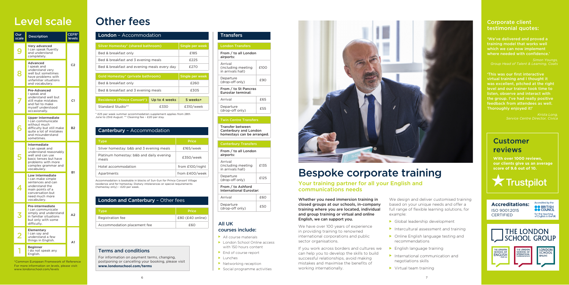# Bespoke corporate training

Your training partner for all your English and communications needs

Whether you need immersion training in closed groups at our schools, in-company training where you are located, individual and group training or virtual and online English, we can support you.

We have over 100 years of experience in providing training to renowned international corporations and public sector organisations.

If you work across borders and cultures we can help you to develop the skills to build successful relationships, avoid making mistakes and maximise the benefits of working internationally.

We design and deliver customised training based on your unique needs and offer a full range of flexible learning solutions, for example:

- $\blacktriangleright$  Global leadership development
- $\blacktriangleright$  Intercultural assessment and training
- **D** Online English language testing and recommendations
- $\blacktriangleright$  English language training
- $\blacktriangleright$  International communication and negotiations skills
- $\blacktriangleright$  Virtual team training



## **Accreditations:** ISO 9001:2015 **CERTIFIED**



# THE LONDON **SCHOOL GROUP**



# Corporate client testimonial quotes:

'We've delivered and proved a training model that works well which we can now implement where needed with confidence.'

*Group Head of Talent & Learning, Coats*

'This was our first interactive virtual training and I thought it was excellent, pitched at the right level and our trainer took time to listen, observe and interact with the group. I've had really positive feedback from attendees as well. Thoroughly enjoyed it!'

> *Krista Long, Service Centre Director, Civica*

# Customer reviews

**With over 1000 reviews, our clients give us an average score of 9.6 out of 10.**

**X** Trustpilot

# All UK courses include:

- $\blacktriangleright$  All course materials
- $\blacktriangleright$  London School Online access with 150 hours content
- $\blacktriangleright$  End of course report
- $\blacktriangleright$  Lunches
- $\blacktriangleright$  Networking reception
- $\triangleright$  Social programme activities



# Level scale Other fees

\*Common European Framework of Reference For more information on levels, please visit: www.londonschool.com/levels

in arrivals hall) Departure Departure  $\left\{ \text{drop-off only} \right\}$   $\left\{ \text{f125} \right\}$ 

| <b>London</b> - Accommodation                       |               |                 |  |  |  |  |  |  |  |  |  |  |
|-----------------------------------------------------|---------------|-----------------|--|--|--|--|--|--|--|--|--|--|
| Silver Homestay* (shared bathroom)                  |               | Single per week |  |  |  |  |  |  |  |  |  |  |
| Bed & breakfast only                                |               | £185            |  |  |  |  |  |  |  |  |  |  |
| Bed & breakfast and 3 evening meals<br>£225         |               |                 |  |  |  |  |  |  |  |  |  |  |
| Bed & breakfast and evening meals every day<br>£270 |               |                 |  |  |  |  |  |  |  |  |  |  |
|                                                     |               |                 |  |  |  |  |  |  |  |  |  |  |
| Gold Homestay* (private bathroom)                   |               | Single per week |  |  |  |  |  |  |  |  |  |  |
| Bed & breakfast only                                |               | £260            |  |  |  |  |  |  |  |  |  |  |
| Bed & breakfast and 3 evening meals                 |               | £305            |  |  |  |  |  |  |  |  |  |  |
| <b>Residence (Prince Consort*)</b>                  | Up to 4 weeks | 5 weeks+        |  |  |  |  |  |  |  |  |  |  |

\* £25 per week summer accommodation supplement applies from 28th June to 23rd August. \*\* Cleaning fee – £20 per stay.



| Pre-intermediate<br>I can communicate<br>simply and understand<br>in familiar situations<br>but only with some<br>difficulty. | Α2 |
|-------------------------------------------------------------------------------------------------------------------------------|----|
| Elementary<br>I can say and<br>understand a few<br>things in English.                                                         | Δ1 |
| <b>Beginner</b><br>I do not speak any<br>English.                                                                             |    |

| <b>Transfers</b>                                   |      |
|----------------------------------------------------|------|
| <b>London Transfers</b>                            |      |
| From / to all London<br>airports:                  |      |
| Arrival<br>(including meeting<br>in arrivals hall) | f100 |
| Departure<br>(drop-off only)                       | £90  |
| From / to St Pancras<br>Eurostar terminal:         |      |
| Arrival                                            | £65  |
| Departure<br>(drop-off only)                       | £55  |

# Twin Centre Transfers

Transfer between Canterbury and London homestays can be arranged.

## Canterbury Transfers

From / to all London airports: Arrival (including meeting £135

### From / to Ashford International Eurostar:

| Arrival                      | F60 |
|------------------------------|-----|
| Departure<br>(drop-off only) | £50 |

# Canterbury – Accommodation

| <b>Type</b>                                       | Price           |
|---------------------------------------------------|-----------------|
| Silver homestay: b&b and 3 evening meals          | £165/week       |
| Platinum homestay: b&b and daily evening<br>meals | £350/week       |
| Hotel accommodation                               | from £100/night |
| Apartments                                        | from £400/week  |

Accommodation is bookable in blocks of Sun-Sun for Prince Consort Village residence and for homestay. Dietary intolerances or special requirements (homestay only) – £20 per week.

# London and Canterbury – Other fees

| <b>Type</b>                 | <b>Price</b>          |
|-----------------------------|-----------------------|
| Registration fee            | $£80$ ( $£40$ online) |
| Accommodation placement fee | FRO                   |

# Terms and conditions

For information on payment terms, changing, postponing or cancelling your booking, please visit **www.londonschool.com/terms**